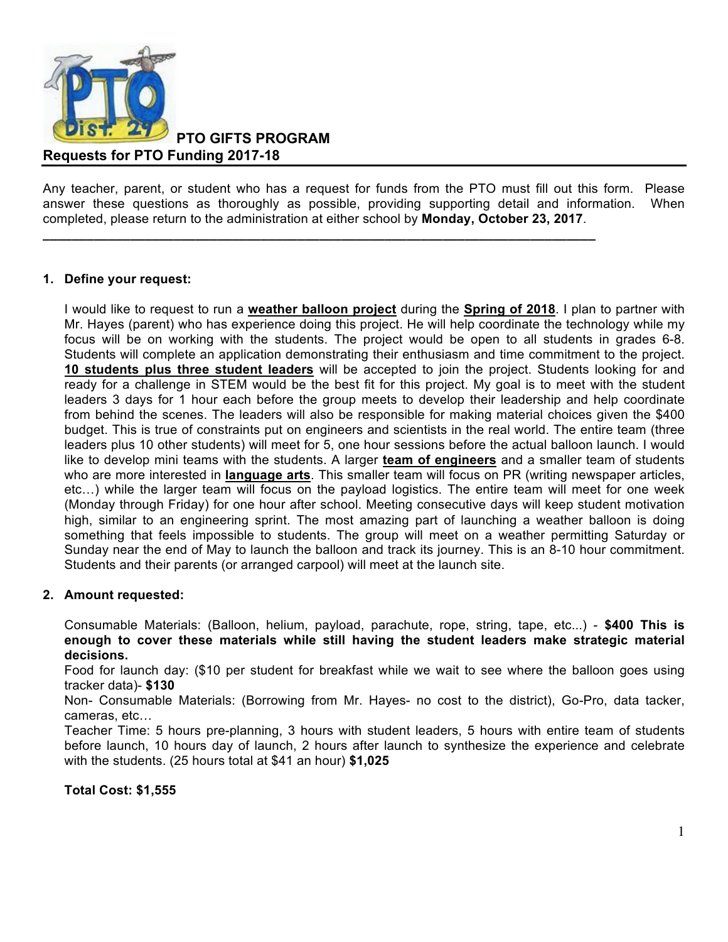

**PTO GIFTS PROGRAM**

**Requests for PTO Funding 2017-18**

Any teacher, parent, or student who has a request for funds from the PTO must fill out this form. Please answer these questions as thoroughly as possible, providing supporting detail and information. When completed, please return to the administration at either school by **Monday, October 23, 2017**.

**\_\_\_\_\_\_\_\_\_\_\_\_\_\_\_\_\_\_\_\_\_\_\_\_\_\_\_\_\_\_\_\_\_\_\_\_\_\_\_\_\_\_\_\_\_\_\_\_\_\_\_\_\_\_\_\_\_\_\_\_\_\_\_\_\_\_\_\_\_\_\_\_\_\_\_\_**

## **1. Define your request:**

I would like to request to run a **weather balloon project** during the **Spring of 2018**. I plan to partner with Mr. Hayes (parent) who has experience doing this project. He will help coordinate the technology while my focus will be on working with the students. The project would be open to all students in grades 6-8. Students will complete an application demonstrating their enthusiasm and time commitment to the project. **10 students plus three student leaders** will be accepted to join the project. Students looking for and ready for a challenge in STEM would be the best fit for this project. My goal is to meet with the student leaders 3 days for 1 hour each before the group meets to develop their leadership and help coordinate from behind the scenes. The leaders will also be responsible for making material choices given the \$400 budget. This is true of constraints put on engineers and scientists in the real world. The entire team (three leaders plus 10 other students) will meet for 5, one hour sessions before the actual balloon launch. I would like to develop mini teams with the students. A larger **team of engineers** and a smaller team of students who are more interested in **language arts**. This smaller team will focus on PR (writing newspaper articles, etc…) while the larger team will focus on the payload logistics. The entire team will meet for one week (Monday through Friday) for one hour after school. Meeting consecutive days will keep student motivation high, similar to an engineering sprint. The most amazing part of launching a weather balloon is doing something that feels impossible to students. The group will meet on a weather permitting Saturday or Sunday near the end of May to launch the balloon and track its journey. This is an 8-10 hour commitment. Students and their parents (or arranged carpool) will meet at the launch site.

#### **2. Amount requested:**

Consumable Materials: (Balloon, helium, payload, parachute, rope, string, tape, etc...) - **\$400 This is enough to cover these materials while still having the student leaders make strategic material decisions.** 

Food for launch day: (\$10 per student for breakfast while we wait to see where the balloon goes using tracker data)- **\$130**

Non- Consumable Materials: (Borrowing from Mr. Hayes- no cost to the district), Go-Pro, data tacker, cameras, etc…

Teacher Time: 5 hours pre-planning, 3 hours with student leaders, 5 hours with entire team of students before launch, 10 hours day of launch, 2 hours after launch to synthesize the experience and celebrate with the students. (25 hours total at \$41 an hour) **\$1,025**

#### **Total Cost: \$1,555**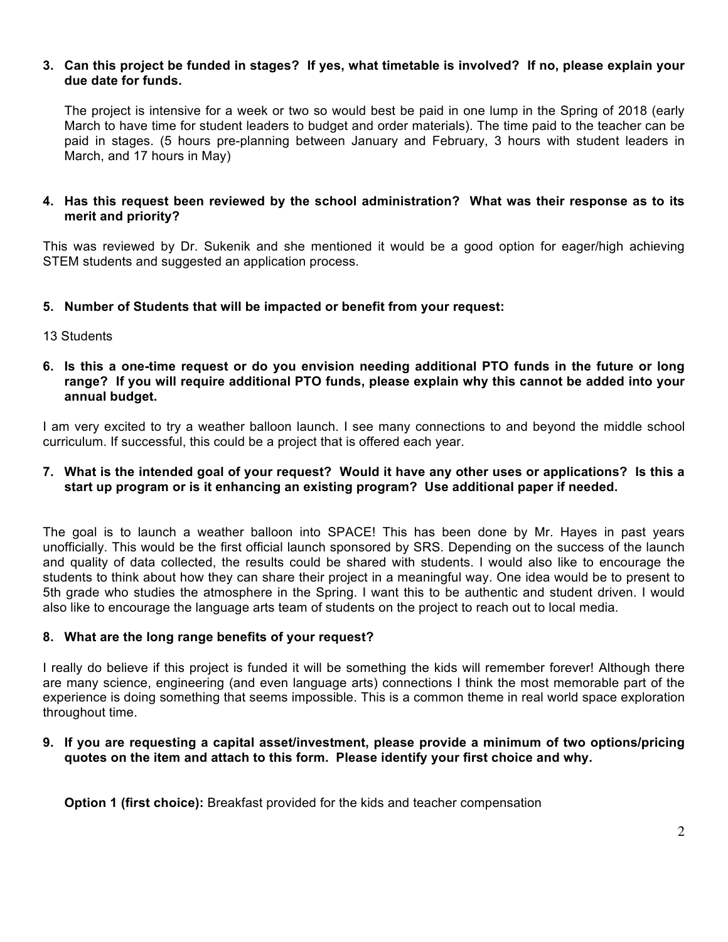## **3. Can this project be funded in stages? If yes, what timetable is involved? If no, please explain your due date for funds.**

The project is intensive for a week or two so would best be paid in one lump in the Spring of 2018 (early March to have time for student leaders to budget and order materials). The time paid to the teacher can be paid in stages. (5 hours pre-planning between January and February, 3 hours with student leaders in March, and 17 hours in May)

## **4. Has this request been reviewed by the school administration? What was their response as to its merit and priority?**

This was reviewed by Dr. Sukenik and she mentioned it would be a good option for eager/high achieving STEM students and suggested an application process.

## **5. Number of Students that will be impacted or benefit from your request:**

- 13 Students
- **6. Is this a one-time request or do you envision needing additional PTO funds in the future or long range? If you will require additional PTO funds, please explain why this cannot be added into your annual budget.**

I am very excited to try a weather balloon launch. I see many connections to and beyond the middle school curriculum. If successful, this could be a project that is offered each year.

## **7. What is the intended goal of your request? Would it have any other uses or applications? Is this a start up program or is it enhancing an existing program? Use additional paper if needed.**

The goal is to launch a weather balloon into SPACE! This has been done by Mr. Hayes in past years unofficially. This would be the first official launch sponsored by SRS. Depending on the success of the launch and quality of data collected, the results could be shared with students. I would also like to encourage the students to think about how they can share their project in a meaningful way. One idea would be to present to 5th grade who studies the atmosphere in the Spring. I want this to be authentic and student driven. I would also like to encourage the language arts team of students on the project to reach out to local media.

## **8. What are the long range benefits of your request?**

I really do believe if this project is funded it will be something the kids will remember forever! Although there are many science, engineering (and even language arts) connections I think the most memorable part of the experience is doing something that seems impossible. This is a common theme in real world space exploration throughout time.

## **9. If you are requesting a capital asset/investment, please provide a minimum of two options/pricing quotes on the item and attach to this form. Please identify your first choice and why.**

**Option 1 (first choice):** Breakfast provided for the kids and teacher compensation